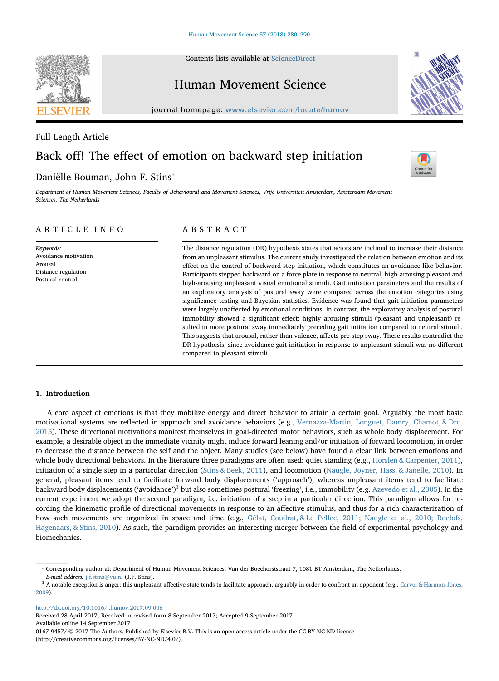Contents lists available at [ScienceDirect](http://www.sciencedirect.com/science/journal/01679457)

# Human Movement Science

journal homepage: [www.elsevier.com/locate/humov](http://www.elsevier.com/locate/humov)

# Full Length Article Back off! The effect of emotion on backward step initiation

# Daniëlle Bouman, John F. Stins<sup>\*</sup>

Department of Human Movement Sciences, Faculty of Behavioural and Movement Sciences, Vrije Universiteit Amsterdam, Amsterdam Movement Sciences, The Netherlands

# ARTICLE INFO

Keywords: Avoidance motivation Arousal Distance regulation Postural control

# ABSTRACT

The distance regulation (DR) hypothesis states that actors are inclined to increase their distance from an unpleasant stimulus. The current study investigated the relation between emotion and its effect on the control of backward step initiation, which constitutes an avoidance-like behavior. Participants stepped backward on a force plate in response to neutral, high-arousing pleasant and high-arousing unpleasant visual emotional stimuli. Gait initiation parameters and the results of an exploratory analysis of postural sway were compared across the emotion categories using significance testing and Bayesian statistics. Evidence was found that gait initiation parameters were largely unaffected by emotional conditions. In contrast, the exploratory analysis of postural immobility showed a significant effect: highly arousing stimuli (pleasant and unpleasant) resulted in more postural sway immediately preceding gait initiation compared to neutral stimuli. This suggests that arousal, rather than valence, affects pre-step sway. These results contradict the DR hypothesis, since avoidance gait-initiation in response to unpleasant stimuli was no different compared to pleasant stimuli.

# 1. Introduction

A core aspect of emotions is that they mobilize energy and direct behavior to attain a certain goal. Arguably the most basic motivational systems are reflected in approach and avoidance behaviors (e.g., [Vernazza-Martin, Longuet, Damry, Chamot, & Dru,](#page-10-0) [2015\)](#page-10-0). These directional motivations manifest themselves in goal-directed motor behaviors, such as whole body displacement. For example, a desirable object in the immediate vicinity might induce forward leaning and/or initiation of forward locomotion, in order to decrease the distance between the self and the object. Many studies (see below) have found a clear link between emotions and whole body directional behaviors. In the literature three paradigms are often used: quiet standing (e.g., [Horslen & Carpenter, 2011](#page-10-1)), initiation of a single step in a particular direction ([Stins & Beek, 2011](#page-10-2)), and locomotion [\(Naugle, Joyner, Hass, & Janelle, 2010](#page-10-3)). In general, pleasant items tend to facilitate forward body displacements ('approach'), whereas unpleasant items tend to facilitate backward body displacements ('avoidance')<sup>[1](#page-0-1)</sup> but also sometimes postural 'freezing', i.e., immobility (e.g. [Azevedo et al., 2005\)](#page-9-0). In the current experiment we adopt the second paradigm, i.e. initiation of a step in a particular direction. This paradigm allows for recording the kinematic profile of directional movements in response to an affective stimulus, and thus for a rich characterization of how such movements are organized in space and time (e.g., [Gélat, Coudrat, & Le Pellec, 2011; Naugle et al., 2010; Roelofs,](#page-10-4) [Hagenaars, & Stins, 2010\)](#page-10-4). As such, the paradigm provides an interesting merger between the field of experimental psychology and biomechanics.

<http://dx.doi.org/10.1016/j.humov.2017.09.006>

Received 28 April 2017; Received in revised form 8 September 2017; Accepted 9 September 2017 Available online 14 September 2017

0167-9457/ © 2017 The Authors. Published by Elsevier B.V. This is an open access article under the CC BY-NC-ND license (http://creativecommons.org/licenses/BY-NC-ND/4.0/).







<span id="page-0-0"></span><sup>⁎</sup> Corresponding author at: Department of Human Movement Sciences, Van der Boechorststraat 7, 1081 BT Amsterdam, The Netherlands.

<span id="page-0-1"></span>E-mail address: [j.f.stins@vu.nl](mailto:j.f.stins@vu.nl) (J.F. Stins). 1. 1 A notable 1. Stins). 1 A notable exception is anger; this unpleasant affective state tends to facilitate approach, arguably in order to confront an opponent (e.g., Carver [2009](#page-10-5)).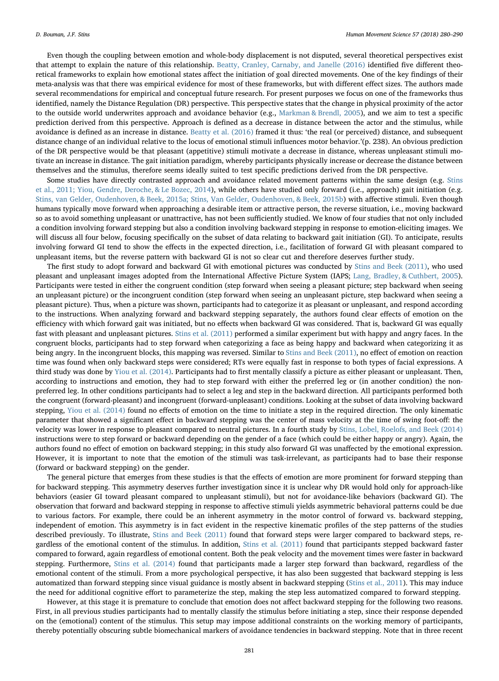Even though the coupling between emotion and whole-body displacement is not disputed, several theoretical perspectives exist that attempt to explain the nature of this relationship. [Beatty, Cranley, Carnaby, and Janelle \(2016\)](#page-10-6) identified five different theoretical frameworks to explain how emotional states affect the initiation of goal directed movements. One of the key findings of their meta-analysis was that there was empirical evidence for most of these frameworks, but with different effect sizes. The authors made several recommendations for empirical and conceptual future research. For present purposes we focus on one of the frameworks thus identified, namely the Distance Regulation (DR) perspective. This perspective states that the change in physical proximity of the actor to the outside world underwrites approach and avoidance behavior (e.g., [Markman & Brendl, 2005](#page-10-7)), and we aim to test a specific prediction derived from this perspective. Approach is defined as a decrease in distance between the actor and the stimulus, while avoidance is defined as an increase in distance. [Beatty et al. \(2016\)](#page-10-6) framed it thus: 'the real (or perceived) distance, and subsequent distance change of an individual relative to the locus of emotional stimuli influences motor behavior.'(p. 238). An obvious prediction of the DR perspective would be that pleasant (appetitive) stimuli motivate a decrease in distance, whereas unpleasant stimuli motivate an increase in distance. The gait initiation paradigm, whereby participants physically increase or decrease the distance between themselves and the stimulus, therefore seems ideally suited to test specific predictions derived from the DR perspective.

Some studies have directly contrasted approach and avoidance related movement patterns within the same design (e.g. [Stins](#page-10-8) [et al., 2011; Yiou, Gendre, Deroche, & Le Bozec, 2014](#page-10-8)), while others have studied only forward (i.e., approach) gait initiation (e.g. [Stins, van Gelder, Oudenhoven, & Beek, 2015a; Stins, Van Gelder, Oudenhoven, & Beek, 2015b\)](#page-10-9) with affective stimuli. Even though humans typically move forward when approaching a desirable item or attractive person, the reverse situation, i.e., moving backward so as to avoid something unpleasant or unattractive, has not been sufficiently studied. We know of four studies that not only included a condition involving forward stepping but also a condition involving backward stepping in response to emotion-eliciting images. We will discuss all four below, focusing specifically on the subset of data relating to backward gait initiation (GI). To anticipate, results involving forward GI tend to show the effects in the expected direction, i.e., facilitation of forward GI with pleasant compared to unpleasant items, but the reverse pattern with backward GI is not so clear cut and therefore deserves further study.

The first study to adopt forward and backward GI with emotional pictures was conducted by [Stins and Beek \(2011\)](#page-10-2), who used pleasant and unpleasant images adopted from the International Affective Picture System (IAPS; [Lang, Bradley, & Cuthbert, 2005\)](#page-10-10). Participants were tested in either the congruent condition (step forward when seeing a pleasant picture; step backward when seeing an unpleasant picture) or the incongruent condition (step forward when seeing an unpleasant picture, step backward when seeing a pleasant picture). Thus, when a picture was shown, participants had to categorize it as pleasant or unpleasant, and respond according to the instructions. When analyzing forward and backward stepping separately, the authors found clear effects of emotion on the efficiency with which forward gait was initiated, but no effects when backward GI was considered. That is, backward GI was equally fast with pleasant and unpleasant pictures. [Stins et al. \(2011\)](#page-10-8) performed a similar experiment but with happy and angry faces. In the congruent blocks, participants had to step forward when categorizing a face as being happy and backward when categorizing it as being angry. In the incongruent blocks, this mapping was reversed. Similar to [Stins and Beek \(2011\),](#page-10-2) no effect of emotion on reaction time was found when only backward steps were considered; RTs were equally fast in response to both types of facial expressions. A third study was done by [Yiou et al. \(2014\).](#page-10-11) Participants had to first mentally classify a picture as either pleasant or unpleasant. Then, according to instructions and emotion, they had to step forward with either the preferred leg or (in another condition) the nonpreferred leg. In other conditions participants had to select a leg and step in the backward direction. All participants performed both the congruent (forward-pleasant) and incongruent (forward-unpleasant) conditions. Looking at the subset of data involving backward stepping, [Yiou et al. \(2014\)](#page-10-11) found no effects of emotion on the time to initiate a step in the required direction. The only kinematic parameter that showed a significant effect in backward stepping was the center of mass velocity at the time of swing foot-off: the velocity was lower in response to pleasant compared to neutral pictures. In a fourth study by [Stins, Lobel, Roelofs, and Beek \(2014\)](#page-10-12) instructions were to step forward or backward depending on the gender of a face (which could be either happy or angry). Again, the authors found no effect of emotion on backward stepping; in this study also forward GI was unaffected by the emotional expression. However, it is important to note that the emotion of the stimuli was task-irrelevant, as participants had to base their response (forward or backward stepping) on the gender.

The general picture that emerges from these studies is that the effects of emotion are more prominent for forward stepping than for backward stepping. This asymmetry deserves further investigation since it is unclear why DR would hold only for approach-like behaviors (easier GI toward pleasant compared to unpleasant stimuli), but not for avoidance-like behaviors (backward GI). The observation that forward and backward stepping in response to affective stimuli yields asymmetric behavioral patterns could be due to various factors. For example, there could be an inherent asymmetry in the motor control of forward vs. backward stepping, independent of emotion. This asymmetry is in fact evident in the respective kinematic profiles of the step patterns of the studies described previously. To illustrate, [Stins and Beek \(2011\)](#page-10-2) found that forward steps were larger compared to backward steps, regardless of the emotional content of the stimulus. In addition, [Stins et al. \(2011\)](#page-10-8) found that participants stepped backward faster compared to forward, again regardless of emotional content. Both the peak velocity and the movement times were faster in backward stepping. Furthermore, [Stins et al. \(2014\)](#page-10-12) found that participants made a larger step forward than backward, regardless of the emotional content of the stimuli. From a more psychological perspective, it has also been suggested that backward stepping is less automatized than forward stepping since visual guidance is mostly absent in backward stepping ([Stins et al., 2011\)](#page-10-8). This may induce the need for additional cognitive effort to parameterize the step, making the step less automatized compared to forward stepping.

However, at this stage it is premature to conclude that emotion does not affect backward stepping for the following two reasons. First, in all previous studies participants had to mentally classify the stimulus before initiating a step, since their response depended on the (emotional) content of the stimulus. This setup may impose additional constraints on the working memory of participants, thereby potentially obscuring subtle biomechanical markers of avoidance tendencies in backward stepping. Note that in three recent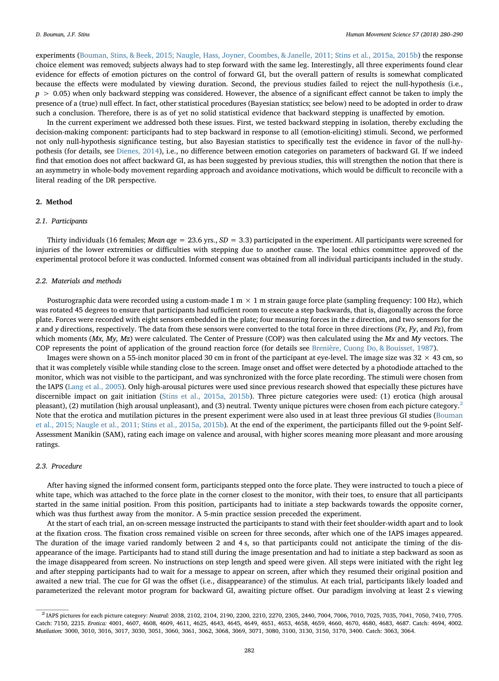experiments [\(Bouman, Stins, & Beek, 2015; Naugle, Hass, Joyner, Coombes, & Janelle, 2011; Stins et al., 2015a, 2015b\)](#page-10-13) the response choice element was removed; subjects always had to step forward with the same leg. Interestingly, all three experiments found clear evidence for effects of emotion pictures on the control of forward GI, but the overall pattern of results is somewhat complicated because the effects were modulated by viewing duration. Second, the previous studies failed to reject the null-hypothesis (i.e.,  $p > 0.05$ ) when only backward stepping was considered. However, the absence of a significant effect cannot be taken to imply the presence of a (true) null effect. In fact, other statistical procedures (Bayesian statistics; see below) need to be adopted in order to draw such a conclusion. Therefore, there is as of yet no solid statistical evidence that backward stepping is unaffected by emotion.

In the current experiment we addressed both these issues. First, we tested backward stepping in isolation, thereby excluding the decision-making component: participants had to step backward in response to all (emotion-eliciting) stimuli. Second, we performed not only null-hypothesis significance testing, but also Bayesian statistics to specifically test the evidence in favor of the null-hypothesis (for details, see [Dienes, 2014\)](#page-10-14), i.e., no difference between emotion categories on parameters of backward GI. If we indeed find that emotion does not affect backward GI, as has been suggested by previous studies, this will strengthen the notion that there is an asymmetry in whole-body movement regarding approach and avoidance motivations, which would be difficult to reconcile with a literal reading of the DR perspective.

### 2. Method

#### 2.1. Participants

Thirty individuals (16 females; Mean age = 23.6 yrs.,  $SD = 3.3$ ) participated in the experiment. All participants were screened for injuries of the lower extremities or difficulties with stepping due to another cause. The local ethics committee approved of the experimental protocol before it was conducted. Informed consent was obtained from all individual participants included in the study.

# 2.2. Materials and methods

Posturographic data were recorded using a custom-made 1 m  $\times$  1 m strain gauge force plate (sampling frequency: 100 Hz), which was rotated 45 degrees to ensure that participants had sufficient room to execute a step backwards, that is, diagonally across the force plate. Forces were recorded with eight sensors embedded in the plate; four measuring forces in the z direction, and two sensors for the x and y directions, respectively. The data from these sensors were converted to the total force in three directions ( $Fx$ ,  $Fy$ , and  $Fz$ ), from which moments ( $Mx$ ,  $My$ ,  $Mz$ ) were calculated. The Center of Pressure (COP) was then calculated using the  $Mx$  and  $My$  vectors. The COP represents the point of application of the ground reaction force (for details see [Brenière, Cuong Do, & Bouisset, 1987](#page-10-15)).

Images were shown on a 55-inch monitor placed 30 cm in front of the participant at eye-level. The image size was  $32 \times 43$  cm, so that it was completely visible while standing close to the screen. Image onset and offset were detected by a photodiode attached to the monitor, which was not visible to the participant, and was synchronized with the force plate recording. The stimuli were chosen from the IAPS [\(Lang et al., 2005\)](#page-10-10). Only high-arousal pictures were used since previous research showed that especially these pictures have discernible impact on gait initiation [\(Stins et al., 2015a, 2015b\)](#page-10-9). Three picture categories were used: (1) erotica (high arousal pleasant), ([2](#page-2-0)) mutilation (high arousal unpleasant), and (3) neutral. Twenty unique pictures were chosen from each picture category.<sup>2</sup> Note that the erotica and mutilation pictures in the present experiment were also used in at least three previous GI studies [\(Bouman](#page-10-13) [et al., 2015; Naugle et al., 2011; Stins et al., 2015a, 2015b](#page-10-13)). At the end of the experiment, the participants filled out the 9-point Self-Assessment Manikin (SAM), rating each image on valence and arousal, with higher scores meaning more pleasant and more arousing ratings.

# 2.3. Procedure

After having signed the informed consent form, participants stepped onto the force plate. They were instructed to touch a piece of white tape, which was attached to the force plate in the corner closest to the monitor, with their toes, to ensure that all participants started in the same initial position. From this position, participants had to initiate a step backwards towards the opposite corner, which was thus furthest away from the monitor. A 5-min practice session preceded the experiment.

At the start of each trial, an on-screen message instructed the participants to stand with their feet shoulder-width apart and to look at the fixation cross. The fixation cross remained visible on screen for three seconds, after which one of the IAPS images appeared. The duration of the image varied randomly between 2 and 4 s, so that participants could not anticipate the timing of the disappearance of the image. Participants had to stand still during the image presentation and had to initiate a step backward as soon as the image disappeared from screen. No instructions on step length and speed were given. All steps were initiated with the right leg and after stepping participants had to wait for a message to appear on screen, after which they resumed their original position and awaited a new trial. The cue for GI was the offset (i.e., disappearance) of the stimulus. At each trial, participants likely loaded and parameterized the relevant motor program for backward GI, awaiting picture offset. Our paradigm involving at least 2 s viewing

<span id="page-2-0"></span><sup>2</sup> IAPS pictures for each picture category: Neutral: 2038, 2102, 2104, 2190, 2200, 2210, 2270, 2305, 2440, 7004, 7006, 7010, 7025, 7035, 7041, 7050, 7410, 7705. Catch: 7150, 2215. Erotica: 4001, 4607, 4608, 4609, 4611, 4625, 4643, 4645, 4649, 4651, 4653, 4658, 4659, 4660, 4670, 4680, 4683, 4687. Catch: 4694, 4002. Mutilation: 3000, 3010, 3016, 3017, 3030, 3051, 3060, 3061, 3062, 3068, 3069, 3071, 3080, 3100, 3130, 3150, 3170, 3400. Catch: 3063, 3064.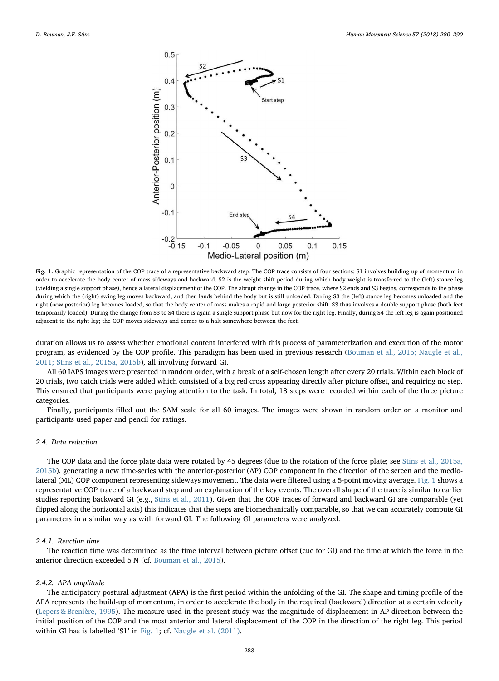<span id="page-3-0"></span>

Fig. 1. Graphic representation of the COP trace of a representative backward step. The COP trace consists of four sections; S1 involves building up of momentum in order to accelerate the body center of mass sideways and backward. S2 is the weight shift period during which body weight is transferred to the (left) stance leg (yielding a single support phase), hence a lateral displacement of the COP. The abrupt change in the COP trace, where S2 ends and S3 begins, corresponds to the phase during which the (right) swing leg moves backward, and then lands behind the body but is still unloaded. During S3 the (left) stance leg becomes unloaded and the right (now posterior) leg becomes loaded, so that the body center of mass makes a rapid and large posterior shift. S3 thus involves a double support phase (both feet temporarily loaded). During the change from S3 to S4 there is again a single support phase but now for the right leg. Finally, during S4 the left leg is again positioned adjacent to the right leg; the COP moves sideways and comes to a halt somewhere between the feet.

duration allows us to assess whether emotional content interfered with this process of parameterization and execution of the motor program, as evidenced by the COP profile. This paradigm has been used in previous research [\(Bouman et al., 2015; Naugle et al.,](#page-10-13) [2011; Stins et al., 2015a, 2015b\)](#page-10-13), all involving forward GI.

All 60 IAPS images were presented in random order, with a break of a self-chosen length after every 20 trials. Within each block of 20 trials, two catch trials were added which consisted of a big red cross appearing directly after picture offset, and requiring no step. This ensured that participants were paying attention to the task. In total, 18 steps were recorded within each of the three picture categories.

Finally, participants filled out the SAM scale for all 60 images. The images were shown in random order on a monitor and participants used paper and pencil for ratings.

# 2.4. Data reduction

The COP data and the force plate data were rotated by 45 degrees (due to the rotation of the force plate; see [Stins et al., 2015a,](#page-10-9) [2015b](#page-10-9)), generating a new time-series with the anterior-posterior (AP) COP component in the direction of the screen and the mediolateral (ML) COP component representing sideways movement. The data were filtered using a 5-point moving average. [Fig. 1](#page-3-0) shows a representative COP trace of a backward step and an explanation of the key events. The overall shape of the trace is similar to earlier studies reporting backward GI (e.g., [Stins et al., 2011\)](#page-10-8). Given that the COP traces of forward and backward GI are comparable (yet flipped along the horizontal axis) this indicates that the steps are biomechanically comparable, so that we can accurately compute GI parameters in a similar way as with forward GI. The following GI parameters were analyzed:

#### 2.4.1. Reaction time

The reaction time was determined as the time interval between picture offset (cue for GI) and the time at which the force in the anterior direction exceeded 5 N (cf. [Bouman et al., 2015\)](#page-10-13).

#### 2.4.2. APA amplitude

The anticipatory postural adjustment (APA) is the first period within the unfolding of the GI. The shape and timing profile of the APA represents the build-up of momentum, in order to accelerate the body in the required (backward) direction at a certain velocity ([Lepers & Brenière, 1995](#page-10-16)). The measure used in the present study was the magnitude of displacement in AP-direction between the initial position of the COP and the most anterior and lateral displacement of the COP in the direction of the right leg. This period within GI has is labelled 'S1' in [Fig. 1;](#page-3-0) cf. [Naugle et al. \(2011\).](#page-10-17)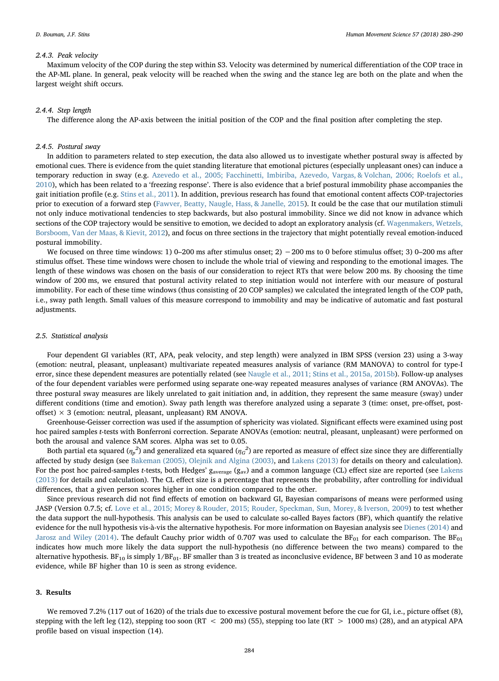# 2.4.3. Peak velocity

Maximum velocity of the COP during the step within S3. Velocity was determined by numerical differentiation of the COP trace in the AP-ML plane. In general, peak velocity will be reached when the swing and the stance leg are both on the plate and when the largest weight shift occurs.

# 2.4.4. Step length

The difference along the AP-axis between the initial position of the COP and the final position after completing the step.

#### 2.4.5. Postural sway

In addition to parameters related to step execution, the data also allowed us to investigate whether postural sway is affected by emotional cues. There is evidence from the quiet standing literature that emotional pictures (especially unpleasant ones) can induce a temporary reduction in sway (e.g. [Azevedo et al., 2005; Facchinetti, Imbiriba, Azevedo, Vargas, & Volchan, 2006; Roelofs et al.,](#page-9-0) [2010\)](#page-9-0), which has been related to a 'freezing response'. There is also evidence that a brief postural immobility phase accompanies the gait initiation profile (e.g. [Stins et al., 2011](#page-10-8)). In addition, previous research has found that emotional content affects COP-trajectories prior to execution of a forward step [\(Fawver, Beatty, Naugle, Hass, & Janelle, 2015](#page-10-18)). It could be the case that our mutilation stimuli not only induce motivational tendencies to step backwards, but also postural immobility. Since we did not know in advance which sections of the COP trajectory would be sensitive to emotion, we decided to adopt an exploratory analysis (cf. [Wagenmakers, Wetzels,](#page-10-19) [Borsboom, Van der Maas, & Kievit, 2012](#page-10-19)), and focus on three sections in the trajectory that might potentially reveal emotion-induced postural immobility.

We focused on three time windows: 1) 0–200 ms after stimulus onset; 2) −200 ms to 0 before stimulus offset; 3) 0–200 ms after stimulus offset. These time windows were chosen to include the whole trial of viewing and responding to the emotional images. The length of these windows was chosen on the basis of our consideration to reject RTs that were below 200 ms. By choosing the time window of 200 ms, we ensured that postural activity related to step initiation would not interfere with our measure of postural immobility. For each of these time windows (thus consisting of 20 COP samples) we calculated the integrated length of the COP path, i.e., sway path length. Small values of this measure correspond to immobility and may be indicative of automatic and fast postural adjustments.

# 2.5. Statistical analysis

Four dependent GI variables (RT, APA, peak velocity, and step length) were analyzed in IBM SPSS (version 23) using a 3-way (emotion: neutral, pleasant, unpleasant) multivariate repeated measures analysis of variance (RM MANOVA) to control for type-I error, since these dependent measures are potentially related (see [Naugle et al., 2011; Stins et al., 2015a, 2015b\)](#page-10-17). Follow-up analyses of the four dependent variables were performed using separate one-way repeated measures analyses of variance (RM ANOVAs). The three postural sway measures are likely unrelated to gait initiation and, in addition, they represent the same measure (sway) under different conditions (time and emotion). Sway path length was therefore analyzed using a separate 3 (time: onset, pre-offset, postoffset)  $\times$  3 (emotion: neutral, pleasant, unpleasant) RM ANOVA.

Greenhouse-Geisser correction was used if the assumption of sphericity was violated. Significant effects were examined using post hoc paired samples t-tests with Bonferroni correction. Separate ANOVAs (emotion: neutral, pleasant, unpleasant) were performed on both the arousal and valence SAM scores. Alpha was set to 0.05.

Both partial eta squared ( $\eta_p^2$ ) and generalized eta squared ( $\eta_G^2$ ) are reported as measure of effect size since they are differentially affected by study design (see [Bakeman \(2005\), Olejnik and Algina \(2003\),](#page-9-1) and [Lakens \(2013\)](#page-10-20) for details on theory and calculation). For the post hoc paired-samples t-tests, both Hedges'  $g_{\text{average}}(g_{\text{av}})$  and a common language (CL) effect size are reported (see [Lakens](#page-10-20) [\(2013\)](#page-10-20) for details and calculation). The CL effect size is a percentage that represents the probability, after controlling for individual differences, that a given person scores higher in one condition compared to the other.

Since previous research did not find effects of emotion on backward GI, Bayesian comparisons of means were performed using JASP (Version 0.7.5; cf. [Love et al., 2015; Morey & Rouder, 2015; Rouder, Speckman, Sun, Morey, & Iverson, 2009\)](#page-10-21) to test whether the data support the null-hypothesis. This analysis can be used to calculate so-called Bayes factors (BF), which quantify the relative evidence for the null hypothesis vis-à-vis the alternative hypothesis. For more information on Bayesian analysis see [Dienes \(2014\)](#page-10-14) and [Jarosz and Wiley \(2014\)](#page-10-22). The default Cauchy prior width of 0.707 was used to calculate the  $BF_{01}$  for each comparison. The  $BF_{01}$ indicates how much more likely the data support the null-hypothesis (no difference between the two means) compared to the alternative hypothesis.  $BF_{10}$  is simply  $1/BF_{01}$ . BF smaller than 3 is treated as inconclusive evidence, BF between 3 and 10 as moderate evidence, while BF higher than 10 is seen as strong evidence.

#### 3. Results

We removed 7.2% (117 out of 1620) of the trials due to excessive postural movement before the cue for GI, i.e., picture offset (8), stepping with the left leg (12), stepping too soon (RT < 200 ms) (55), stepping too late (RT > 1000 ms) (28), and an atypical APA profile based on visual inspection (14).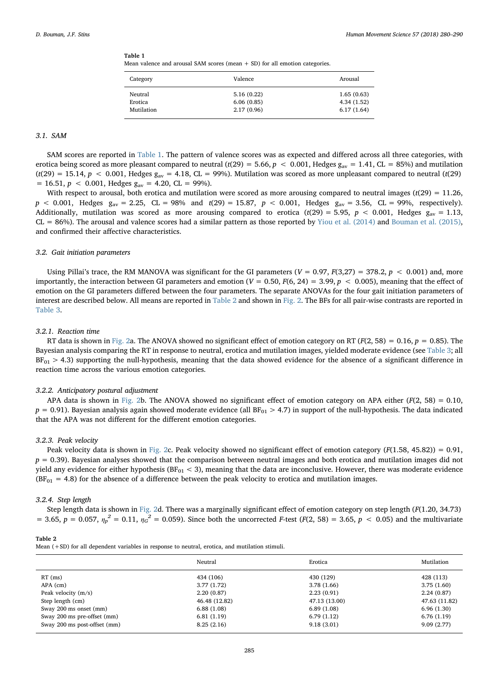<span id="page-5-0"></span>Table 1

| Table 1                                                                       |  |
|-------------------------------------------------------------------------------|--|
| Mean valence and arousal SAM scores (mean $+$ SD) for all emotion categories. |  |

| Category   | Valence    | Arousal    |
|------------|------------|------------|
| Neutral    | 5.16(0.22) | 1.65(0.63) |
| Erotica    | 6.06(0.85) | 4.34(1.52) |
| Mutilation | 2.17(0.96) | 6.17(1.64) |

# 3.1. SAM

SAM scores are reported in [Table 1.](#page-5-0) The pattern of valence scores was as expected and differed across all three categories, with erotica being scored as more pleasant compared to neutral (t(29) = 5.66,  $p < 0.001$ , Hedges  $g_{av} = 1.41$ , CL = 85%) and mutilation  $(t(29) = 15.14, p < 0.001$ , Hedges  $g_{av} = 4.18$ , CL = 99%). Mutilation was scored as more unpleasant compared to neutral (t(29)  $= 16.51, p < 0.001$ , Hedges  $g_{av} = 4.20$ , CL = 99%).

With respect to arousal, both erotica and mutilation were scored as more arousing compared to neutral images ( $t(29) = 11.26$ ,  $p < 0.001$ , Hedges  $g_{av} = 2.25$ , CL = 98% and t(29) = 15.87,  $p < 0.001$ , Hedges  $g_{av} = 3.56$ , CL = 99%, respectively). Additionally, mutilation was scored as more arousing compared to erotica (t(29) = 5.95, p < 0.001, Hedges  $g_{av} = 1.13$ ,  $CL = 86\%)$ . The arousal and valence scores had a similar pattern as those reported by [Yiou et al. \(2014\)](#page-10-11) and [Bouman et al. \(2015\),](#page-10-13) and confirmed their affective characteristics.

# 3.2. Gait initiation parameters

Using Pillai's trace, the RM MANOVA was significant for the GI parameters  $(V = 0.97, F(3.27) = 378.2, p < 0.001$ ) and, more importantly, the interaction between GI parameters and emotion ( $V = 0.50$ ,  $F(6, 24) = 3.99$ ,  $p < 0.005$ ), meaning that the effect of emotion on the GI parameters differed between the four parameters. The separate ANOVAs for the four gait initiation parameters of interest are described below. All means are reported in [Table 2](#page-5-1) and shown in [Fig. 2.](#page-6-0) The BFs for all pair-wise contrasts are reported in [Table 3.](#page-6-1)

#### 3.2.1. Reaction time

RT data is shown in [Fig. 2a](#page-6-0). The ANOVA showed no significant effect of emotion category on RT (F(2, 58) = 0.16,  $p = 0.85$ ). The Bayesian analysis comparing the RT in response to neutral, erotica and mutilation images, yielded moderate evidence (see [Table 3](#page-6-1); all  $BF_{01}$  > 4.3) supporting the null-hypothesis, meaning that the data showed evidence for the absence of a significant difference in reaction time across the various emotion categories.

#### 3.2.2. Anticipatory postural adjustment

APA data is shown in [Fig. 2](#page-6-0)b. The ANOVA showed no significant effect of emotion category on APA either  $(F(2, 58) = 0.10,$  $p = 0.91$ ). Bayesian analysis again showed moderate evidence (all BF<sub>01</sub> > 4.7) in support of the null-hypothesis. The data indicated that the APA was not different for the different emotion categories.

# 3.2.3. Peak velocity

Peak velocity data is shown in [Fig. 2](#page-6-0)c. Peak velocity showed no significant effect of emotion category (F(1.58, 45.82)) = 0.91,  $p = 0.39$ ). Bayesian analyses showed that the comparison between neutral images and both erotica and mutilation images did not yield any evidence for either hypothesis ( $BF_{01}$  < 3), meaning that the data are inconclusive. However, there was moderate evidence  $(BF_{01} = 4.8)$  for the absence of a difference between the peak velocity to erotica and mutilation images.

# 3.2.4. Step length

Step length data is shown in [Fig. 2](#page-6-0)d. There was a marginally significant effect of emotion category on step length (F(1.20, 34.73) = 3.65,  $p = 0.057$ ,  $\eta_p^2 = 0.11$ ,  $\eta_G^2 = 0.059$ ). Since both the uncorrected F-test (F(2, 58) = 3.65,  $p < 0.05$ ) and the multivariate

#### <span id="page-5-1"></span>Table 2

Mean (+SD) for all dependent variables in response to neutral, erotica, and mutilation stimuli.

|                              | Neutral       | Erotica       | Mutilation    |
|------------------------------|---------------|---------------|---------------|
| $RT$ (ms)                    | 434 (106)     | 430 (129)     | 428 (113)     |
| $APA$ (cm)                   | 3.77(1.72)    | 3.78(1.66)    | 3.75(1.60)    |
| Peak velocity (m/s)          | 2.20(0.87)    | 2.23(0.91)    | 2.24(0.87)    |
| Step length (cm)             | 46.48 (12.82) | 47.13 (13.00) | 47.63 (11.82) |
| Sway 200 ms onset (mm)       | 6.88(1.08)    | 6.89(1.08)    | 6.96(1.30)    |
| Sway 200 ms pre-offset (mm)  | 6.81(1.19)    | 6.79(1.12)    | 6.76(1.19)    |
| Sway 200 ms post-offset (mm) | 8.25(2.16)    | 9.18(3.01)    | 9.09(2.77)    |
|                              |               |               |               |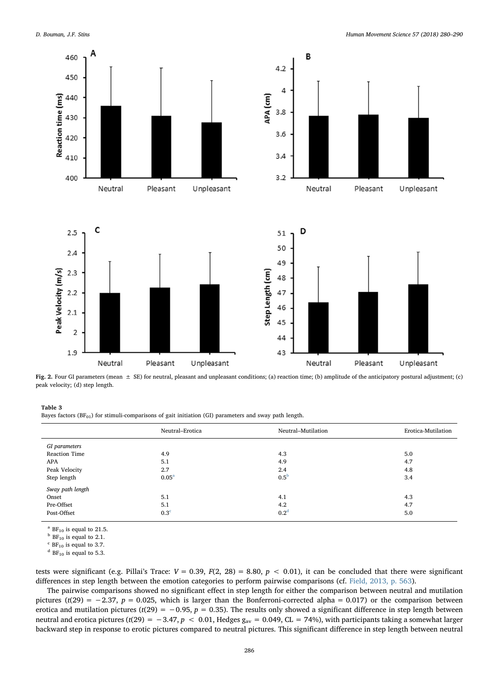<span id="page-6-0"></span>

Fig. 2. Four GI parameters (mean  $\pm$  SE) for neutral, pleasant and unpleasant conditions; (a) reaction time; (b) amplitude of the anticipatory postural adjustment; (c) peak velocity; (d) step length.

<span id="page-6-1"></span>Table 3

Bayes factors ( $BF_{01}$ ) for stimuli-comparisons of gait initiation (GI) parameters and sway path length.

|                      | Neutral-Erotica   | Neutral-Mutilation | Erotica-Mutilation |
|----------------------|-------------------|--------------------|--------------------|
| GI parameters        |                   |                    |                    |
| <b>Reaction Time</b> | 4.9               | 4.3                | 5.0                |
| APA                  | 5.1               | 4.9                | 4.7                |
| Peak Velocity        | 2.7               | 2.4                | 4.8                |
| Step length          | 0.05 <sup>a</sup> | 0.5 <sup>b</sup>   | 3.4                |
| Sway path length     |                   |                    |                    |
| Onset                | 5.1               | 4.1                | 4.3                |
| Pre-Offset           | 5.1               | 4.2                | 4.7                |
| Post-Offset          | 0.3 <sup>c</sup>  | 0.2 <sup>d</sup>   | 5.0                |

<span id="page-6-2"></span><sup>a</sup> BF<sub>10</sub> is equal to 2.1.5.<br><sup>b</sup> BF<sub>10</sub> is equal to 2.1.<br><sup>c</sup> BF<sub>10</sub> is equal to 3.7.<br><sup>d</sup> BF<sub>10</sub> is equal to 5.3.

<span id="page-6-3"></span>

<span id="page-6-4"></span>

<span id="page-6-5"></span>

tests were significant (e.g. Pillai's Trace:  $V = 0.39$ ,  $F(2, 28) = 8.80$ ,  $p < 0.01$ ), it can be concluded that there were significant differences in step length between the emotion categories to perform pairwise comparisons (cf. [Field, 2013, p. 563](#page-10-23)).

The pairwise comparisons showed no significant effect in step length for either the comparison between neutral and mutilation pictures ( $t(29) = -2.37$ ,  $p = 0.025$ , which is larger than the Bonferroni-corrected alpha = 0.017) or the comparison between erotica and mutilation pictures ( $t(29) = -0.95$ ,  $p = 0.35$ ). The results only showed a significant difference in step length between neutral and erotica pictures (t(29) = -3.47, p < 0.01, Hedges  $g_{av}$  = 0.049, CL = 74%), with participants taking a somewhat larger backward step in response to erotic pictures compared to neutral pictures. This significant difference in step length between neutral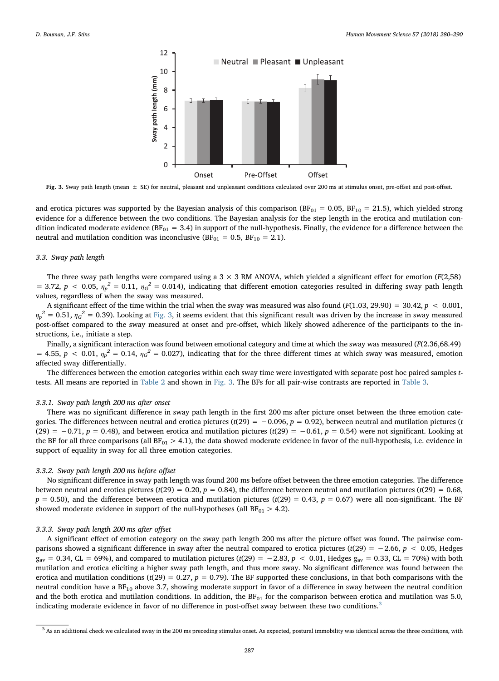<span id="page-7-0"></span>

Fig. 3. Sway path length (mean  $\pm$  SE) for neutral, pleasant and unpleasant conditions calculated over 200 ms at stimulus onset, pre-offset and post-offset.

and erotica pictures was supported by the Bayesian analysis of this comparison (BF<sub>01</sub> = 0.05, BF<sub>10</sub> = 21.5), which yielded strong evidence for a difference between the two conditions. The Bayesian analysis for the step length in the erotica and mutilation condition indicated moderate evidence ( $BF_{01} = 3.4$ ) in support of the null-hypothesis. Finally, the evidence for a difference between the neutral and mutilation condition was inconclusive ( $BF_{01} = 0.5$ ,  $BF_{10} = 2.1$ ).

#### 3.3. Sway path length

The three sway path lengths were compared using a  $3 \times 3$  RM ANOVA, which yielded a significant effect for emotion ( $F(2,58)$ ) = 3.72,  $p$  < 0.05,  $\eta_p^2$  = 0.11,  $\eta_G^2$  = 0.014), indicating that different emotion categories resulted in differing sway path length values, regardless of when the sway was measured.

A significant effect of the time within the trial when the sway was measured was also found ( $F(1.03, 29.90) = 30.42$ ,  $p < 0.001$ ,  $\eta_p^2 = 0.51$ ,  $\eta_G^2 = 0.39$ ). Looking at [Fig. 3,](#page-7-0) it seems evident that this significant result was driven by the increase in sway measured post-offset compared to the sway measured at onset and pre-offset, which likely showed adherence of the participants to the instructions, i.e., initiate a step.

Finally, a significant interaction was found between emotional category and time at which the sway was measured (F(2.36,68.49) = 4.55,  $p$  < 0.01,  $\eta_p^2$  = 0.14,  $\eta_g^2$  = 0.027), indicating that for the three different times at which sway was measured, emotion affected sway differentially.

The differences between the emotion categories within each sway time were investigated with separate post hoc paired samples ttests. All means are reported in [Table 2](#page-5-1) and shown in [Fig. 3.](#page-7-0) The BFs for all pair-wise contrasts are reported in [Table 3.](#page-6-1)

# 3.3.1. Sway path length 200 ms after onset

There was no significant difference in sway path length in the first 200 ms after picture onset between the three emotion categories. The differences between neutral and erotica pictures ( $t(29) = -0.096$ ,  $p = 0.92$ ), between neutral and mutilation pictures ( $t$ (29) = −0.71, p = 0.48), and between erotica and mutilation pictures (t(29) = −0.61, p = 0.54) were not significant. Looking at the BF for all three comparisons (all  $BF_{01} > 4.1$ ), the data showed moderate evidence in favor of the null-hypothesis, i.e. evidence in support of equality in sway for all three emotion categories.

### 3.3.2. Sway path length 200 ms before offset

No significant difference in sway path length was found 200 ms before offset between the three emotion categories. The difference between neutral and erotica pictures ( $t(29) = 0.20$ ,  $p = 0.84$ ), the difference between neutral and mutilation pictures ( $t(29) = 0.68$ ,  $p = 0.50$ ), and the difference between erotica and mutilation pictures (t(29) = 0.43,  $p = 0.67$ ) were all non-significant. The BF showed moderate evidence in support of the null-hypotheses (all  $BF_{01} > 4.2$ ).

# 3.3.3. Sway path length 200 ms after offset

A significant effect of emotion category on the sway path length 200 ms after the picture offset was found. The pairwise comparisons showed a significant difference in sway after the neutral compared to erotica pictures ( $t(29) = -2.66$ ,  $p < 0.05$ , Hedges  $g_{\text{av}} = 0.34$ , CL = 69%), and compared to mutilation pictures (t(29) = -2.83, p < 0.01, Hedges  $g_{\text{av}} = 0.33$ , CL = 70%) with both mutilation and erotica eliciting a higher sway path length, and thus more sway. No significant difference was found between the erotica and mutilation conditions ( $t(29) = 0.27$ ,  $p = 0.79$ ). The BF supported these conclusions, in that both comparisons with the neutral condition have a BF<sub>10</sub> above 3.7, showing moderate support in favor of a difference in sway between the neutral condition and the both erotica and mutilation conditions. In addition, the  $BF_{01}$  for the comparison between erotica and mutilation was 5.0, indicating moderate evidence in favor of no difference in post-offset sway between these two conditions.<sup>[3](#page-7-1)</sup>

<span id="page-7-1"></span><sup>&</sup>lt;sup>3</sup> As an additional check we calculated sway in the 200 ms preceding stimulus onset. As expected, postural immobility was identical across the three conditions, with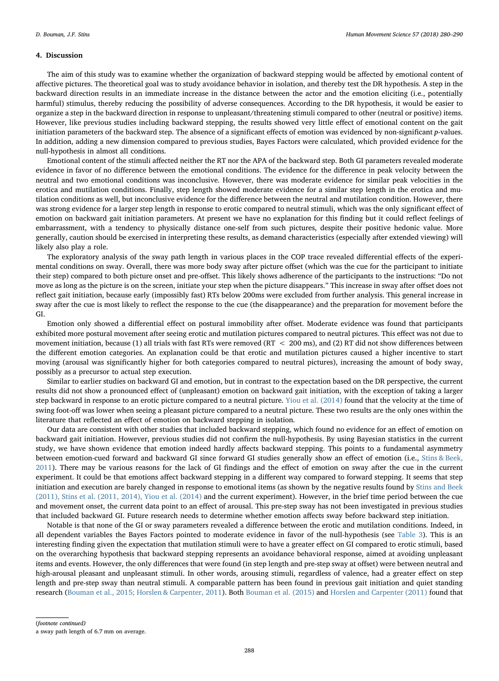# 4. Discussion

The aim of this study was to examine whether the organization of backward stepping would be affected by emotional content of affective pictures. The theoretical goal was to study avoidance behavior in isolation, and thereby test the DR hypothesis. A step in the backward direction results in an immediate increase in the distance between the actor and the emotion eliciting (i.e., potentially harmful) stimulus, thereby reducing the possibility of adverse consequences. According to the DR hypothesis, it would be easier to organize a step in the backward direction in response to unpleasant/threatening stimuli compared to other (neutral or positive) items. However, like previous studies including backward stepping, the results showed very little effect of emotional content on the gait initiation parameters of the backward step. The absence of a significant effects of emotion was evidenced by non-significant p-values. In addition, adding a new dimension compared to previous studies, Bayes Factors were calculated, which provided evidence for the null-hypothesis in almost all conditions.

Emotional content of the stimuli affected neither the RT nor the APA of the backward step. Both GI parameters revealed moderate evidence in favor of no difference between the emotional conditions. The evidence for the difference in peak velocity between the neutral and two emotional conditions was inconclusive. However, there was moderate evidence for similar peak velocities in the erotica and mutilation conditions. Finally, step length showed moderate evidence for a similar step length in the erotica and mutilation conditions as well, but inconclusive evidence for the difference between the neutral and mutilation condition. However, there was strong evidence for a larger step length in response to erotic compared to neutral stimuli, which was the only significant effect of emotion on backward gait initiation parameters. At present we have no explanation for this finding but it could reflect feelings of embarrassment, with a tendency to physically distance one-self from such pictures, despite their positive hedonic value. More generally, caution should be exercised in interpreting these results, as demand characteristics (especially after extended viewing) will likely also play a role.

The exploratory analysis of the sway path length in various places in the COP trace revealed differential effects of the experimental conditions on sway. Overall, there was more body sway after picture offset (which was the cue for the participant to initiate their step) compared to both picture onset and pre-offset. This likely shows adherence of the participants to the instructions: "Do not move as long as the picture is on the screen, initiate your step when the picture disappears." This increase in sway after offset does not reflect gait initiation, because early (impossibly fast) RTs below 200ms were excluded from further analysis. This general increase in sway after the cue is most likely to reflect the response to the cue (the disappearance) and the preparation for movement before the GI.

Emotion only showed a differential effect on postural immobility after offset. Moderate evidence was found that participants exhibited more postural movement after seeing erotic and mutilation pictures compared to neutral pictures. This effect was not due to movement initiation, because (1) all trials with fast RTs were removed (RT < 200 ms), and (2) RT did not show differences between the different emotion categories. An explanation could be that erotic and mutilation pictures caused a higher incentive to start moving (arousal was significantly higher for both categories compared to neutral pictures), increasing the amount of body sway, possibly as a precursor to actual step execution.

Similar to earlier studies on backward GI and emotion, but in contrast to the expectation based on the DR perspective, the current results did not show a pronounced effect of (unpleasant) emotion on backward gait initiation, with the exception of taking a larger step backward in response to an erotic picture compared to a neutral picture. [Yiou et al. \(2014\)](#page-10-11) found that the velocity at the time of swing foot-off was lower when seeing a pleasant picture compared to a neutral picture. These two results are the only ones within the literature that reflected an effect of emotion on backward stepping in isolation.

Our data are consistent with other studies that included backward stepping, which found no evidence for an effect of emotion on backward gait initiation. However, previous studies did not confirm the null-hypothesis. By using Bayesian statistics in the current study, we have shown evidence that emotion indeed hardly affects backward stepping. This points to a fundamental asymmetry between emotion-cued forward and backward GI since forward GI studies generally show an effect of emotion (i.e., [Stins & Beek,](#page-10-2) [2011\)](#page-10-2). There may be various reasons for the lack of GI findings and the effect of emotion on sway after the cue in the current experiment. It could be that emotions affect backward stepping in a different way compared to forward stepping. It seems that step initiation and execution are barely changed in response to emotional items (as shown by the negative results found by [Stins and Beek](#page-10-2) [\(2011\), Stins et al. \(2011, 2014\), Yiou et al. \(2014\)](#page-10-2) and the current experiment). However, in the brief time period between the cue and movement onset, the current data point to an effect of arousal. This pre-step sway has not been investigated in previous studies that included backward GI. Future research needs to determine whether emotion affects sway before backward step initiation.

Notable is that none of the GI or sway parameters revealed a difference between the erotic and mutilation conditions. Indeed, in all dependent variables the Bayes Factors pointed to moderate evidence in favor of the null-hypothesis (see [Table 3](#page-6-1)). This is an interesting finding given the expectation that mutilation stimuli were to have a greater effect on GI compared to erotic stimuli, based on the overarching hypothesis that backward stepping represents an avoidance behavioral response, aimed at avoiding unpleasant items and events. However, the only differences that were found (in step length and pre-step sway at offset) were between neutral and high-arousal pleasant and unpleasant stimuli. In other words, arousing stimuli, regardless of valence, had a greater effect on step length and pre-step sway than neutral stimuli. A comparable pattern has been found in previous gait initiation and quiet standing research ([Bouman et al., 2015; Horslen & Carpenter, 2011](#page-10-13)). Both [Bouman et al. \(2015\)](#page-10-13) and [Horslen and Carpenter \(2011\)](#page-10-1) found that

a sway path length of 6.7 mm on average.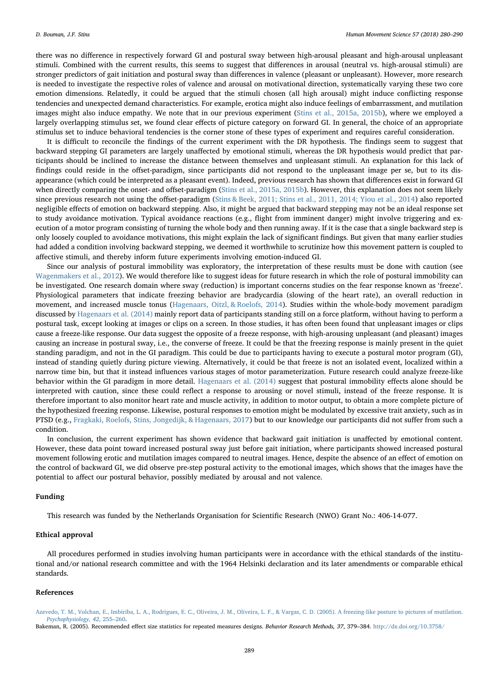there was no difference in respectively forward GI and postural sway between high-arousal pleasant and high-arousal unpleasant stimuli. Combined with the current results, this seems to suggest that differences in arousal (neutral vs. high-arousal stimuli) are stronger predictors of gait initiation and postural sway than differences in valence (pleasant or unpleasant). However, more research is needed to investigate the respective roles of valence and arousal on motivational direction, systematically varying these two core emotion dimensions. Relatedly, it could be argued that the stimuli chosen (all high arousal) might induce conflicting response tendencies and unexpected demand characteristics. For example, erotica might also induce feelings of embarrassment, and mutilation images might also induce empathy. We note that in our previous experiment ([Stins et al., 2015a, 2015b](#page-10-9)), where we employed a largely overlapping stimulus set, we found clear effects of picture category on forward GI. In general, the choice of an appropriate stimulus set to induce behavioral tendencies is the corner stone of these types of experiment and requires careful consideration.

It is difficult to reconcile the findings of the current experiment with the DR hypothesis. The findings seem to suggest that backward stepping GI parameters are largely unaffected by emotional stimuli, whereas the DR hypothesis would predict that participants should be inclined to increase the distance between themselves and unpleasant stimuli. An explanation for this lack of findings could reside in the offset-paradigm, since participants did not respond to the unpleasant image per se, but to its disappearance (which could be interpreted as a pleasant event). Indeed, previous research has shown that differences exist in forward GI when directly comparing the onset- and offset-paradigm ([Stins et al., 2015a, 2015b\)](#page-10-9). However, this explanation does not seem likely since previous research not using the offset-paradigm ([Stins & Beek, 2011; Stins et al., 2011, 2014; Yiou et al., 2014\)](#page-10-2) also reported negligible effects of emotion on backward stepping. Also, it might be argued that backward stepping may not be an ideal response set to study avoidance motivation. Typical avoidance reactions (e.g., flight from imminent danger) might involve triggering and execution of a motor program consisting of turning the whole body and then running away. If it is the case that a single backward step is only loosely coupled to avoidance motivations, this might explain the lack of significant findings. But given that many earlier studies had added a condition involving backward stepping, we deemed it worthwhile to scrutinize how this movement pattern is coupled to affective stimuli, and thereby inform future experiments involving emotion-induced GI.

Since our analysis of postural immobility was exploratory, the interpretation of these results must be done with caution (see [Wagenmakers et al., 2012](#page-10-19)). We would therefore like to suggest ideas for future research in which the role of postural immobility can be investigated. One research domain where sway (reduction) is important concerns studies on the fear response known as 'freeze'. Physiological parameters that indicate freezing behavior are bradycardia (slowing of the heart rate), an overall reduction in movement, and increased muscle tonus [\(Hagenaars, Oitzl, & Roelofs, 2014](#page-10-24)). Studies within the whole-body movement paradigm discussed by [Hagenaars et al. \(2014\)](#page-10-24) mainly report data of participants standing still on a force platform, without having to perform a postural task, except looking at images or clips on a screen. In those studies, it has often been found that unpleasant images or clips cause a freeze-like response. Our data suggest the opposite of a freeze response, with high-arousing unpleasant (and pleasant) images causing an increase in postural sway, i.e., the converse of freeze. It could be that the freezing response is mainly present in the quiet standing paradigm, and not in the GI paradigm. This could be due to participants having to execute a postural motor program (GI), instead of standing quietly during picture viewing. Alternatively, it could be that freeze is not an isolated event, localized within a narrow time bin, but that it instead influences various stages of motor parameterization. Future research could analyze freeze-like behavior within the GI paradigm in more detail. [Hagenaars et al. \(2014\)](#page-10-24) suggest that postural immobility effects alone should be interpreted with caution, since these could reflect a response to arousing or novel stimuli, instead of the freeze response. It is therefore important to also monitor heart rate and muscle activity, in addition to motor output, to obtain a more complete picture of the hypothesized freezing response. Likewise, postural responses to emotion might be modulated by excessive trait anxiety, such as in PTSD (e.g., [Fragkaki, Roelofs, Stins, Jongedijk, & Hagenaars, 2017](#page-10-25)) but to our knowledge our participants did not suffer from such a condition.

In conclusion, the current experiment has shown evidence that backward gait initiation is unaffected by emotional content. However, these data point toward increased postural sway just before gait initiation, where participants showed increased postural movement following erotic and mutilation images compared to neutral images. Hence, despite the absence of an effect of emotion on the control of backward GI, we did observe pre-step postural activity to the emotional images, which shows that the images have the potential to affect our postural behavior, possibly mediated by arousal and not valence.

# Funding

This research was funded by the Netherlands Organisation for Scientific Research (NWO) Grant No.: 406-14-077.

#### Ethical approval

All procedures performed in studies involving human participants were in accordance with the ethical standards of the institutional and/or national research committee and with the 1964 Helsinki declaration and its later amendments or comparable ethical standards.

#### References

<span id="page-9-1"></span><span id="page-9-0"></span>[Azevedo, T. M., Volchan, E., Imbiriba, L. A., Rodrigues, E. C., Oliveira, J. M., Oliveira, L. F., & Vargas, C. D. \(2005\). A freezing-like posture to pictures of mutilation.](http://refhub.elsevier.com/S0167-9457(17)30326-3/h0005) [Psychophysiology, 42](http://refhub.elsevier.com/S0167-9457(17)30326-3/h0005), 255–260. Bakeman, R. (2005). Recommended effect size statistics for repeated measures designs. Behavior Research Methods, 37, 379–384. [http://dx.doi.org/10.3758/](http://dx.doi.org/10.3758/BF03192707)